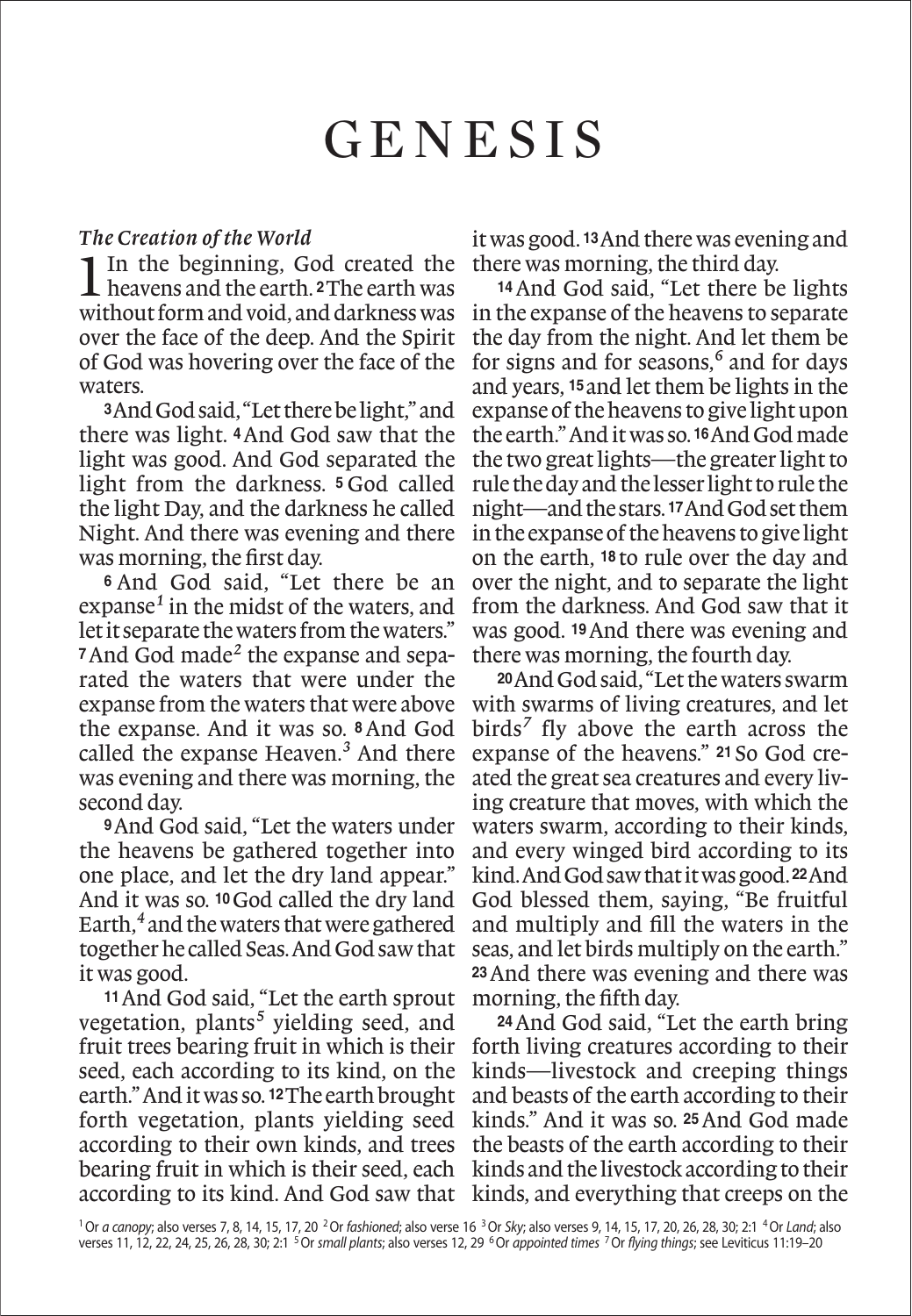# Genesis

### *The Creation of the World*

1In the beginning, God created the heavens and the earth. **2**The earth was without form and void, and darkness was over the face of the deep. And the Spirit of God was hovering over the face of the waters.

**<sup>3</sup>**And God said, "Let there be light," and there was light. **4**And God saw that the light was good. And God separated the light from the darkness. **<sup>5</sup>** God called the light Day, and the darkness he called Night. And there was evening and there was morning, the first day.

**<sup>6</sup>** And God said, "Let there be an expanse*1* in the midst of the waters, and let it separate the waters from the waters." **7**And God made*2* the expanse and separated the waters that were under the expanse from the waters that were above the expanse. And it was so. **8**And God called the expanse Heaven.*3* And there was evening and there was morning, the second day.

**<sup>9</sup>**And God said, "Let the waters under the heavens be gathered together into one place, and let the dry land appear." And it was so. **10**God called the dry land Earth,*4* and the waters that were gathered together he called Seas. And God saw that it was good.

**<sup>11</sup>**And God said, "Let the earth sprout vegetation, plants*5* yielding seed, and fruit trees bearing fruit in which is their seed, each according to its kind, on the earth." And it was so. **12**The earth brought forth vegetation, plants yielding seed according to their own kinds, and trees bearing fruit in which is their seed, each kinds and the livestock according to their according to its kind. And God saw that kinds, and everything that creeps on the

it was good. **13**And there was evening and there was morning, the third day.

**<sup>14</sup>**And God said, "Let there be lights in the expanse of the heavens to separate the day from the night. And let them be for signs and for seasons,*6* and for days and years, **15**and let them be lights in the expanse of the heavens to give light upon the earth." And it was so. **16**And God made the two great lights—the greater light to rule the day and the lesser light to rule the night—and the stars. **17**And God set them in the expanse of the heavens to give light on the earth, **<sup>18</sup>** to rule over the day and over the night, and to separate the light from the darkness. And God saw that it was good. **19**And there was evening and there was morning, the fourth day.

**<sup>20</sup>**And God said, "Let the waters swarm with swarms of living creatures, and let birds*7* fly above the earth across the expanse of the heavens." **<sup>21</sup>** So God created the great sea creatures and every living creature that moves, with which the waters swarm, according to their kinds, and every winged bird according to its kind. And God saw that it was good. **22**And God blessed them, saying, "Be fruitful and multiply and fill the waters in the seas, and let birds multiply on the earth." **<sup>23</sup>**And there was evening and there was morning, the fifth day.

**<sup>24</sup>**And God said, "Let the earth bring forth living creatures according to their kinds—livestock and creeping things and beasts of the earth according to their kinds." And it was so. **25**And God made the beasts of the earth according to their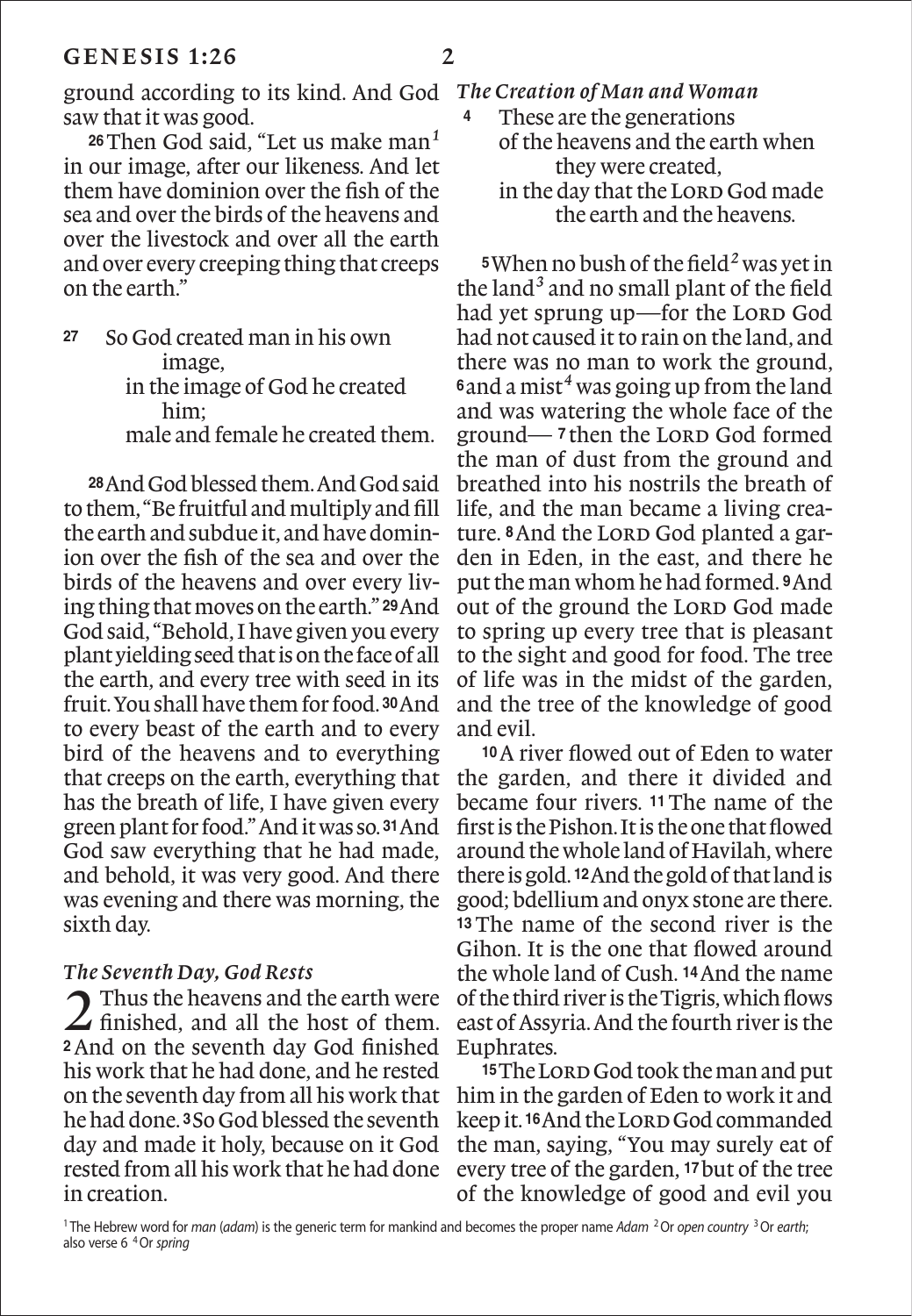ground according to its kind. And God *The Creation of Man and Woman* saw that it was good.

**<sup>26</sup>**Then God said, "Let us make man*1* in our image, after our likeness. And let them have dominion over the fish of the sea and over the birds of the heavens and over the livestock and over all the earth and over every creeping thing that creeps on the earth."

**<sup>27</sup>** So God created man in his own image, in the image of God he created him; male and female he created them.

**<sup>28</sup>**And God blessed them. And God said to them, "Be fruitful and multiply and fill the earth and subdue it, and have dominion over the fish of the sea and over the birds of the heavens and over every living thing that moves on the earth." **29**And God said, "Behold, I have given you every plant yielding seed that is on the face of all the earth, and every tree with seed in its fruit. You shall have them for food. **30**And to every beast of the earth and to every bird of the heavens and to everything that creeps on the earth, everything that has the breath of life, I have given every green plant for food." And it was so. **31**And God saw everything that he had made, and behold, it was very good. And there was evening and there was morning, the sixth day.

#### *The Seventh Day, God Rests*

2 Thus the heavens and the earth were finished, and all the host of them. **<sup>2</sup>**And on the seventh day God finished his work that he had done, and he rested on the seventh day from all his work that he had done. **3**So God blessed the seventh day and made it holy, because on it God rested from all his work that he had done in creation.

- 
- **<sup>4</sup>** These are the generations of the heavens and the earth when they were created, in the day that the LORD God made the earth and the heavens.

**<sup>5</sup>**When no bush of the field*2* was yet in the land*3* and no small plant of the field had yet sprung up—for the LORD God had not caused it to rain on the land, and there was no man to work the ground, **<sup>6</sup>**and a mist*4* was going up from the land and was watering the whole face of the ground— **<sup>7</sup>** then the Lord God formed the man of dust from the ground and breathed into his nostrils the breath of life, and the man became a living creature. <sup>8</sup>And the LORD God planted a garden in Eden, in the east, and there he put the man whom he had formed. **9**And out of the ground the LORD God made to spring up every tree that is pleasant to the sight and good for food. The tree of life was in the midst of the garden, and the tree of the knowledge of good and evil.

**<sup>10</sup>**A river flowed out of Eden to water the garden, and there it divided and became four rivers. **11**The name of the first is the Pishon. It is the one that flowed around the whole land of Havilah, where there is gold. **12**And the gold of that land is good; bdellium and onyx stone are there. **<sup>13</sup>** The name of the second river is the Gihon. It is the one that flowed around the whole land of Cush. **14**And the name of the third river is the Tigris, which flows east of Assyria. And the fourth river is the Euphrates.

15 The Lord God took the man and put him in the garden of Eden to work it and keep it. **16**And the Lord God commanded the man, saying, "You may surely eat of every tree of the garden, **17**but of the tree of the knowledge of good and evil you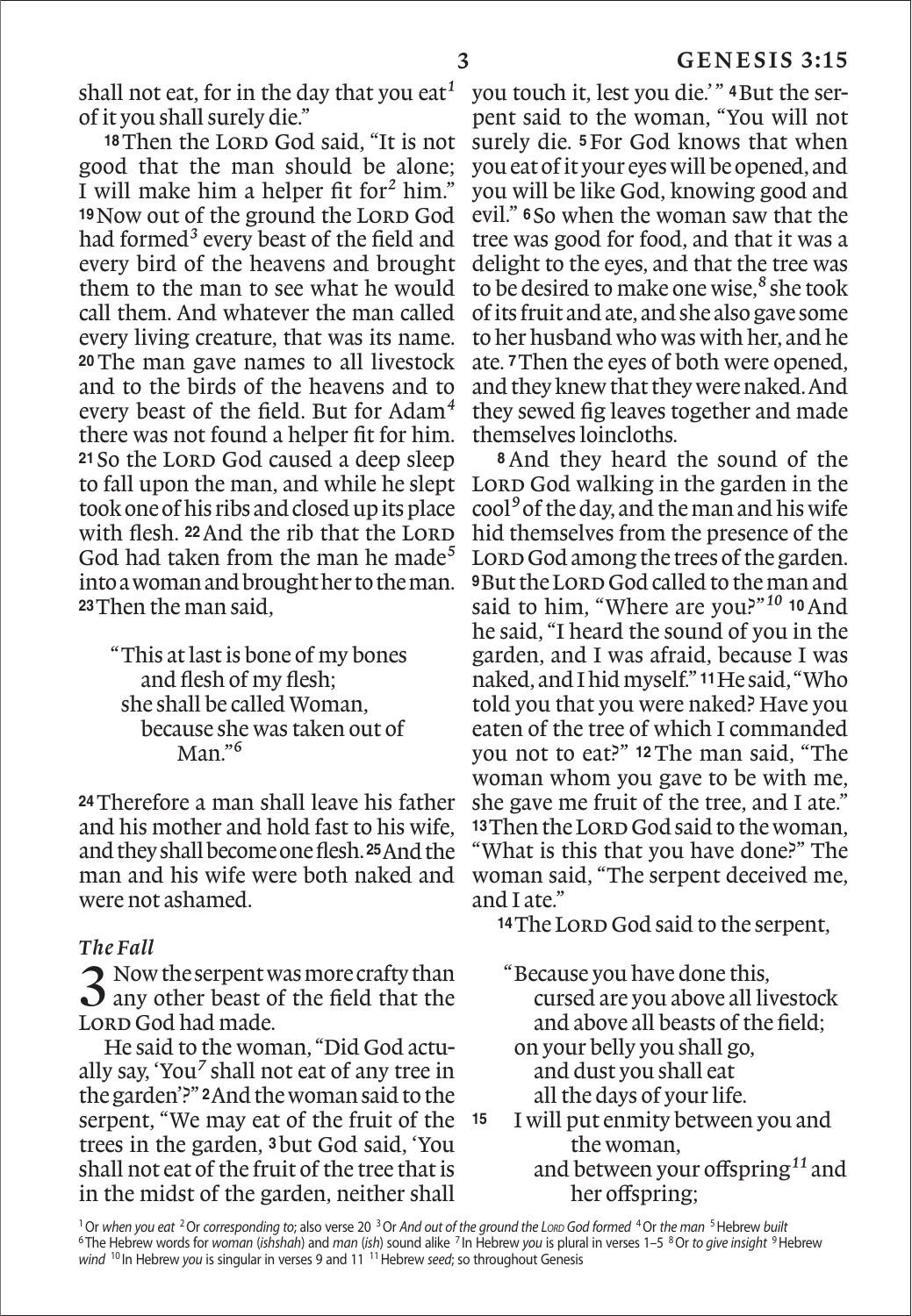shall not eat, for in the day that you eat*1* of it you shall surely die."

<sup>18</sup>Then the LORD God said, "It is not good that the man should be alone; I will make him a helper fit for*2* him." <sup>19</sup>Now out of the ground the LORD God had formed*3* every beast of the field and every bird of the heavens and brought them to the man to see what he would call them. And whatever the man called every living creature, that was its name. **<sup>20</sup>**The man gave names to all livestock and to the birds of the heavens and to every beast of the field. But for Adam*4* there was not found a helper fit for him. 21 So the LORD God caused a deep sleep to fall upon the man, and while he slept took one of his ribs and closed up its place with flesh. <sup>22</sup> And the rib that the LORD God had taken from the man he made*5* into a woman and brought her to the man. **<sup>23</sup>**Then the man said,

"This at last is bone of my bones and flesh of my flesh; she shall be called Woman, because she was taken out of Man."*6*

**<sup>24</sup>**Therefore a man shall leave his father and his mother and hold fast to his wife, and they shall become one flesh. **25**And the man and his wife were both naked and were not ashamed.

## *The Fall*

 $\bigcap$  Now the serpent was more crafty than  $\bf{J}$  any other beast of the field that the LORD God had made.

He said to the woman, "Did God actually say, 'You*7* shall not eat of any tree in the garden'?" **2**And the woman said to the serpent, "We may eat of the fruit of the 15 trees in the garden, **3**but God said, 'You shall not eat of the fruit of the tree that is in the midst of the garden, neither shall

you touch it, lest you die.' " **4**But the serpent said to the woman, "You will not surely die. **5**For God knows that when you eat of it your eyes will be opened, and you will be like God, knowing good and evil." **<sup>6</sup>** So when the woman saw that the tree was good for food, and that it was a delight to the eyes, and that the tree was to be desired to make one wise,*8* she took of its fruit and ate, and she also gave some to her husband who was with her, and he ate. **7**Then the eyes of both were opened, and they knew that they were naked. And they sewed fig leaves together and made themselves loincloths.

**<sup>8</sup>** And they heard the sound of the LORD God walking in the garden in the cool*9* of the day, and the man and his wife hid themselves from the presence of the LORD God among the trees of the garden. **9But the LORD God called to the man and** said to him, "Where are you?"*10* **<sup>10</sup>**And he said, "I heard the sound of you in the garden, and I was afraid, because I was naked, and I hid myself." **11**He said, "Who told you that you were naked? Have you eaten of the tree of which I commanded you not to eat?" **12**The man said, "The woman whom you gave to be with me, she gave me fruit of the tree, and I ate." 13 Then the LORD God said to the woman, "What is this that you have done?" The woman said, "The serpent deceived me, and I ate."

14 The Lorp God said to the serpent,

"Because you have done this, cursed are you above all livestock and above all beasts of the field;

- on your belly you shall go, and dust you shall eat all the days of your life.
- **<sup>15</sup>** I will put enmity between you and the woman, and between your offspring*11* and

her offspring;

<sup>1</sup>Or *when you eat* 2Or *corresponding to*; also verse 20 3Or *And out of the ground the Lord God formed* 4Or *the man* 5Hebrew *built* <sup>6</sup> The Hebrew words for *woman* (*ishshah*) and *man* (*ish*) sound alike <sup>7</sup> In Hebrew *you* is plural in verses 1–5 8Or *to give insight* 9Hebrew *wind* <sup>10</sup> In Hebrew you is singular in verses 9 and 11<sup>11</sup> Hebrew seed; so throughout Genesis